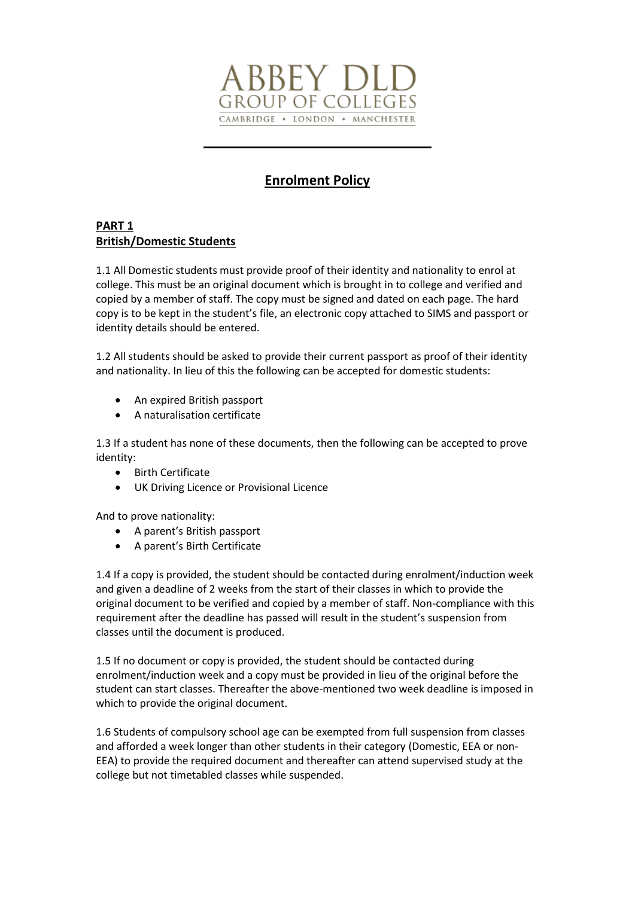

# **Enrolment Policy**

## **PART 1 British/Domestic Students**

1.1 All Domestic students must provide proof of their identity and nationality to enrol at college. This must be an original document which is brought in to college and verified and copied by a member of staff. The copy must be signed and dated on each page. The hard copy is to be kept in the student's file, an electronic copy attached to SIMS and passport or identity details should be entered.

1.2 All students should be asked to provide their current passport as proof of their identity and nationality. In lieu of this the following can be accepted for domestic students:

- An expired British passport
- A naturalisation certificate

1.3 If a student has none of these documents, then the following can be accepted to prove identity:

- Birth Certificate
- UK Driving Licence or Provisional Licence

And to prove nationality:

- A parent's British passport
- A parent's Birth Certificate

1.4 If a copy is provided, the student should be contacted during enrolment/induction week and given a deadline of 2 weeks from the start of their classes in which to provide the original document to be verified and copied by a member of staff. Non-compliance with this requirement after the deadline has passed will result in the student's suspension from classes until the document is produced.

1.5 If no document or copy is provided, the student should be contacted during enrolment/induction week and a copy must be provided in lieu of the original before the student can start classes. Thereafter the above-mentioned two week deadline is imposed in which to provide the original document.

1.6 Students of compulsory school age can be exempted from full suspension from classes and afforded a week longer than other students in their category (Domestic, EEA or non-EEA) to provide the required document and thereafter can attend supervised study at the college but not timetabled classes while suspended.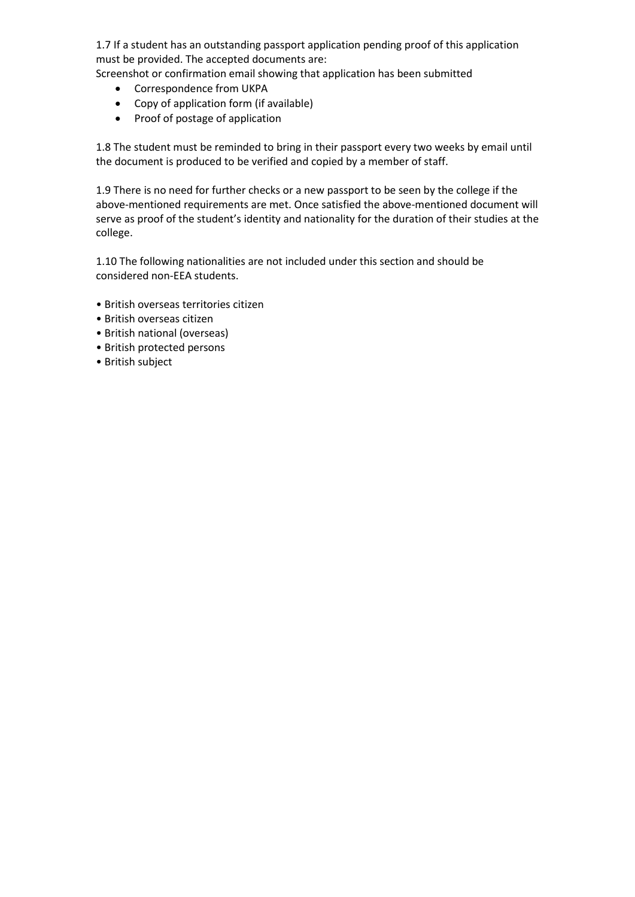1.7 If a student has an outstanding passport application pending proof of this application must be provided. The accepted documents are:

Screenshot or confirmation email showing that application has been submitted

- Correspondence from UKPA
- Copy of application form (if available)
- Proof of postage of application

1.8 The student must be reminded to bring in their passport every two weeks by email until the document is produced to be verified and copied by a member of staff.

1.9 There is no need for further checks or a new passport to be seen by the college if the above-mentioned requirements are met. Once satisfied the above-mentioned document will serve as proof of the student's identity and nationality for the duration of their studies at the college.

1.10 The following nationalities are not included under this section and should be considered non-EEA students.

- British overseas territories citizen
- British overseas citizen
- British national (overseas)
- British protected persons
- British subject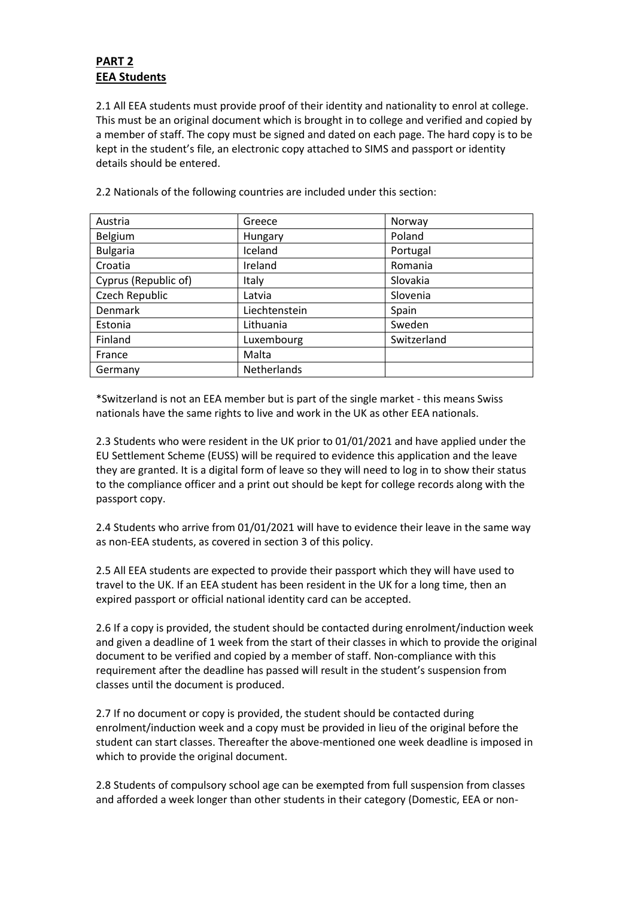# **PART 2 EEA Students**

2.1 All EEA students must provide proof of their identity and nationality to enrol at college. This must be an original document which is brought in to college and verified and copied by a member of staff. The copy must be signed and dated on each page. The hard copy is to be kept in the student's file, an electronic copy attached to SIMS and passport or identity details should be entered.

| Austria              | Greece        | Norway      |
|----------------------|---------------|-------------|
| Belgium              | Hungary       | Poland      |
| <b>Bulgaria</b>      | Iceland       | Portugal    |
| Croatia              | Ireland       | Romania     |
| Cyprus (Republic of) | Italy         | Slovakia    |
| Czech Republic       | Latvia        | Slovenia    |
| <b>Denmark</b>       | Liechtenstein | Spain       |
| Estonia              | Lithuania     | Sweden      |
| Finland              | Luxembourg    | Switzerland |
| France               | Malta         |             |
| Germany              | Netherlands   |             |

2.2 Nationals of the following countries are included under this section:

\*Switzerland is not an EEA member but is part of the single market - this means Swiss nationals have the same rights to live and work in the UK as other EEA nationals.

2.3 Students who were resident in the UK prior to 01/01/2021 and have applied under the EU Settlement Scheme (EUSS) will be required to evidence this application and the leave they are granted. It is a digital form of leave so they will need to log in to show their status to the compliance officer and a print out should be kept for college records along with the passport copy.

2.4 Students who arrive from 01/01/2021 will have to evidence their leave in the same way as non-EEA students, as covered in section 3 of this policy.

2.5 All EEA students are expected to provide their passport which they will have used to travel to the UK. If an EEA student has been resident in the UK for a long time, then an expired passport or official national identity card can be accepted.

2.6 If a copy is provided, the student should be contacted during enrolment/induction week and given a deadline of 1 week from the start of their classes in which to provide the original document to be verified and copied by a member of staff. Non-compliance with this requirement after the deadline has passed will result in the student's suspension from classes until the document is produced.

2.7 If no document or copy is provided, the student should be contacted during enrolment/induction week and a copy must be provided in lieu of the original before the student can start classes. Thereafter the above-mentioned one week deadline is imposed in which to provide the original document.

2.8 Students of compulsory school age can be exempted from full suspension from classes and afforded a week longer than other students in their category (Domestic, EEA or non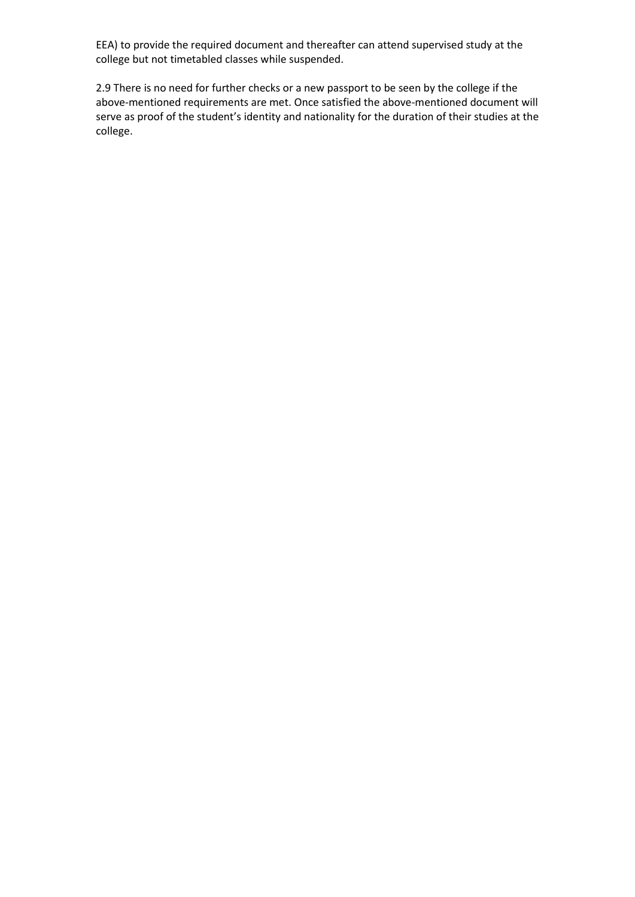EEA) to provide the required document and thereafter can attend supervised study at the college but not timetabled classes while suspended.

2.9 There is no need for further checks or a new passport to be seen by the college if the above-mentioned requirements are met. Once satisfied the above-mentioned document will serve as proof of the student's identity and nationality for the duration of their studies at the college.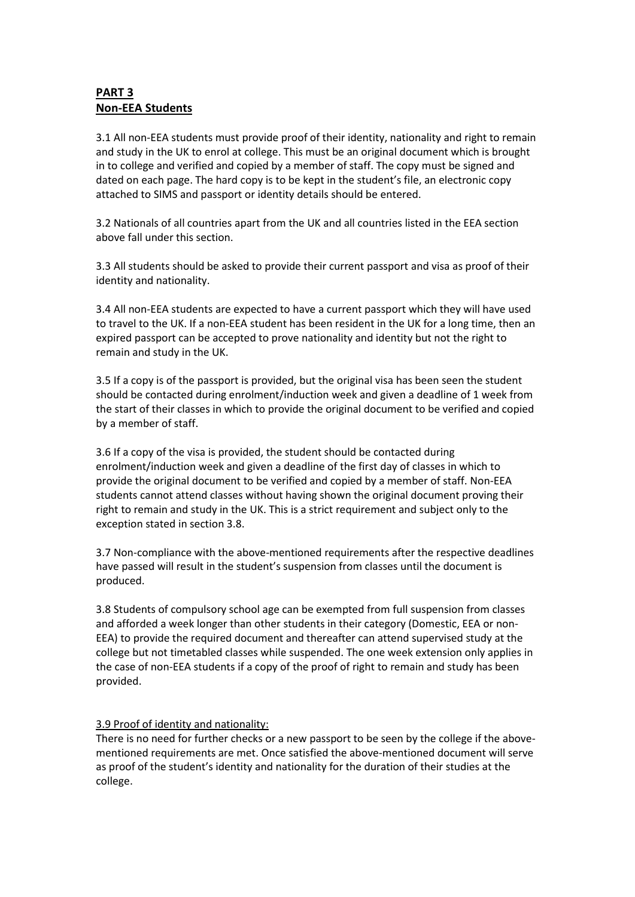# **PART 3 Non-EEA Students**

3.1 All non-EEA students must provide proof of their identity, nationality and right to remain and study in the UK to enrol at college. This must be an original document which is brought in to college and verified and copied by a member of staff. The copy must be signed and dated on each page. The hard copy is to be kept in the student's file, an electronic copy attached to SIMS and passport or identity details should be entered.

3.2 Nationals of all countries apart from the UK and all countries listed in the EEA section above fall under this section.

3.3 All students should be asked to provide their current passport and visa as proof of their identity and nationality.

3.4 All non-EEA students are expected to have a current passport which they will have used to travel to the UK. If a non-EEA student has been resident in the UK for a long time, then an expired passport can be accepted to prove nationality and identity but not the right to remain and study in the UK.

3.5 If a copy is of the passport is provided, but the original visa has been seen the student should be contacted during enrolment/induction week and given a deadline of 1 week from the start of their classes in which to provide the original document to be verified and copied by a member of staff.

3.6 If a copy of the visa is provided, the student should be contacted during enrolment/induction week and given a deadline of the first day of classes in which to provide the original document to be verified and copied by a member of staff. Non-EEA students cannot attend classes without having shown the original document proving their right to remain and study in the UK. This is a strict requirement and subject only to the exception stated in section 3.8.

3.7 Non-compliance with the above-mentioned requirements after the respective deadlines have passed will result in the student's suspension from classes until the document is produced.

3.8 Students of compulsory school age can be exempted from full suspension from classes and afforded a week longer than other students in their category (Domestic, EEA or non-EEA) to provide the required document and thereafter can attend supervised study at the college but not timetabled classes while suspended. The one week extension only applies in the case of non-EEA students if a copy of the proof of right to remain and study has been provided.

### 3.9 Proof of identity and nationality:

There is no need for further checks or a new passport to be seen by the college if the abovementioned requirements are met. Once satisfied the above-mentioned document will serve as proof of the student's identity and nationality for the duration of their studies at the college.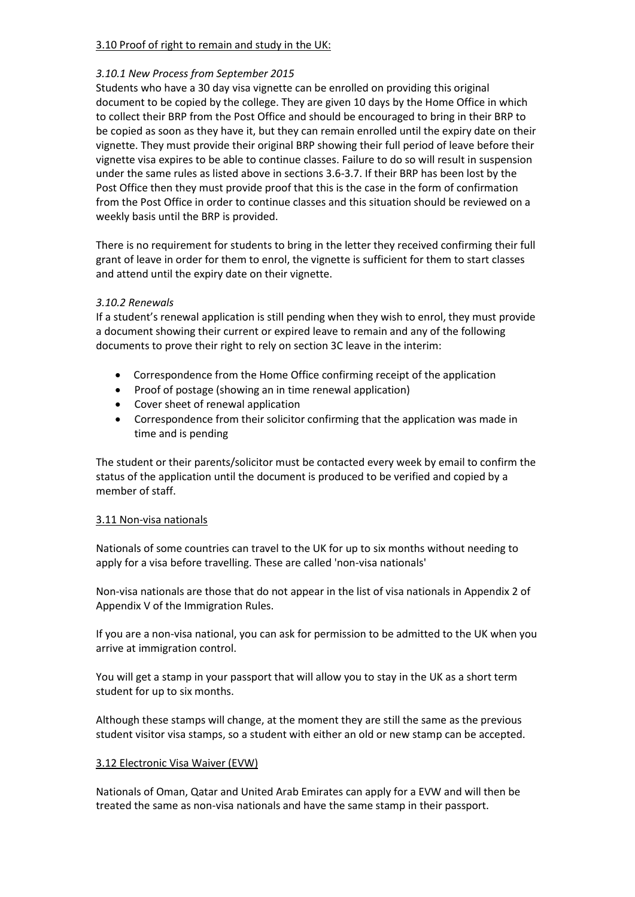#### 3.10 Proof of right to remain and study in the UK:

#### *3.10.1 New Process from September 2015*

Students who have a 30 day visa vignette can be enrolled on providing this original document to be copied by the college. They are given 10 days by the Home Office in which to collect their BRP from the Post Office and should be encouraged to bring in their BRP to be copied as soon as they have it, but they can remain enrolled until the expiry date on their vignette. They must provide their original BRP showing their full period of leave before their vignette visa expires to be able to continue classes. Failure to do so will result in suspension under the same rules as listed above in sections 3.6-3.7. If their BRP has been lost by the Post Office then they must provide proof that this is the case in the form of confirmation from the Post Office in order to continue classes and this situation should be reviewed on a weekly basis until the BRP is provided.

There is no requirement for students to bring in the letter they received confirming their full grant of leave in order for them to enrol, the vignette is sufficient for them to start classes and attend until the expiry date on their vignette.

#### *3.10.2 Renewals*

If a student's renewal application is still pending when they wish to enrol, they must provide a document showing their current or expired leave to remain and any of the following documents to prove their right to rely on section 3C leave in the interim:

- Correspondence from the Home Office confirming receipt of the application
- Proof of postage (showing an in time renewal application)
- Cover sheet of renewal application
- Correspondence from their solicitor confirming that the application was made in time and is pending

The student or their parents/solicitor must be contacted every week by email to confirm the status of the application until the document is produced to be verified and copied by a member of staff.

#### 3.11 Non-visa nationals

Nationals of some countries can travel to the UK for up to six months without needing to apply for a visa before travelling. These are called 'non-visa nationals'

Non-visa nationals are those that do not appear in the list of visa nationals in Appendix 2 of Appendix V of the Immigration Rules.

If you are a non-visa national, you can ask for permission to be admitted to the UK when you arrive at immigration control.

You will get a stamp in your passport that will allow you to stay in the UK as a short term student for up to six months.

Although these stamps will change, at the moment they are still the same as the previous student visitor visa stamps, so a student with either an old or new stamp can be accepted.

#### 3.12 Electronic Visa Waiver (EVW)

Nationals of Oman, Qatar and United Arab Emirates can apply for a EVW and will then be treated the same as non-visa nationals and have the same stamp in their passport.